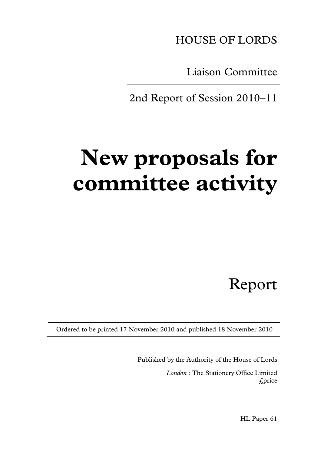HOUSE OF LORDS

Liaison Committee

2nd Report of Session 2010–11

# **New proposals for committee activity**

Report

Ordered to be printed 17 November 2010 and published 18 November 2010

Published by the Authority of the House of Lords *London* : The Stationery Office Limited £price

HL Paper 61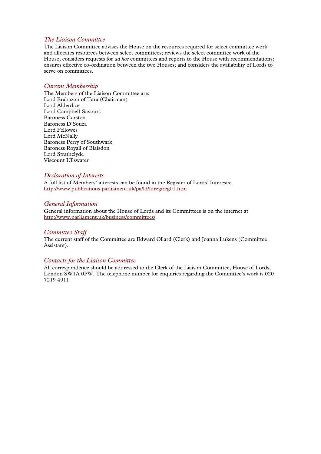# *The Liaison Committee*

The Liaison Committee advises the House on the resources required for select committee work and allocates resources between select committees; reviews the select committee work of the House; considers requests for *ad hoc* committees and reports to the House with recommendations; ensures effective co-ordination between the two Houses; and considers the availability of Lords to serve on committees.

## *Current Membership*

The Members of the Liaison Committee are: Lord Brabazon of Tara (Chairman) Lord Alderdice Lord Campbell-Savours Baroness Corston Baroness D'Souza Lord Fellowes Lord McNally Baroness Perry of Southwark Baroness Royall of Blaisdon Lord Strathclyde Viscount Ullswater

# *Declaration of Interests*

A full list of Members' interests can be found in the Register of Lords' Interests: http://www.publications.parliament.uk/pa/ld/ldreg/reg01.htm

# *General Information*

General information about the House of Lords and its Committees is on the internet at http://www.parliament.uk/business/committees/

# *Committee Staff*

The current staff of the Committee are Edward Ollard (Clerk) and Joanna Lukens (Committee Assistant).

# *Contacts for the Liaison Committee*

All correspondence should be addressed to the Clerk of the Liaison Committee, House of Lords, London SW1A 0PW. The telephone number for enquiries regarding the Committee's work is 020 7219 4911.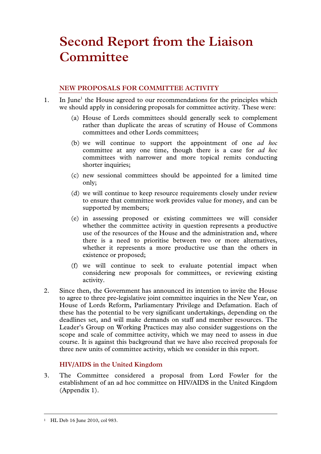# **Second Report from the Liaison Committee**

# **NEW PROPOSALS FOR COMMITTEE ACTIVITY**

- 1. In June<sup>1</sup> the House agreed to our recommendations for the principles which we should apply in considering proposals for committee activity. These were:
	- (a) House of Lords committees should generally seek to complement rather than duplicate the areas of scrutiny of House of Commons committees and other Lords committees;
	- (b) we will continue to support the appointment of one *ad hoc* committee at any one time, though there is a case for *ad hoc* committees with narrower and more topical remits conducting shorter inquiries;
	- (c) new sessional committees should be appointed for a limited time only;
	- (d) we will continue to keep resource requirements closely under review to ensure that committee work provides value for money, and can be supported by members;
	- (e) in assessing proposed or existing committees we will consider whether the committee activity in question represents a productive use of the resources of the House and the administration and, where there is a need to prioritise between two or more alternatives, whether it represents a more productive use than the others in existence or proposed;
	- (f) we will continue to seek to evaluate potential impact when considering new proposals for committees, or reviewing existing activity.
- 2. Since then, the Government has announced its intention to invite the House to agree to three pre-legislative joint committee inquiries in the New Year, on House of Lords Reform, Parliamentary Privilege and Defamation. Each of these has the potential to be very significant undertakings, depending on the deadlines set, and will make demands on staff and member resources. The Leader's Group on Working Practices may also consider suggestions on the scope and scale of committee activity, which we may need to assess in due course. It is against this background that we have also received proposals for three new units of committee activity, which we consider in this report.

# **HIV/AIDS in the United Kingdom**

3. The Committee considered a proposal from Lord Fowler for the establishment of an ad hoc committee on HIV/AIDS in the United Kingdom (Appendix 1).

 <sup>1</sup> HL Deb 16 June 2010, col 983.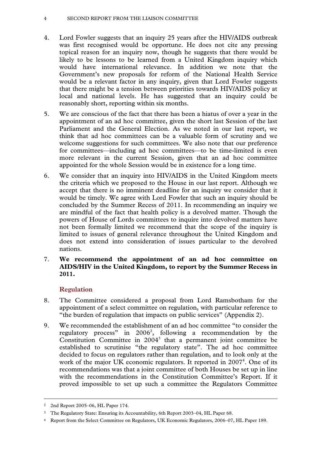# 4 SECOND REPORT FROM THE LIAISON COMMITTEE

- 4. Lord Fowler suggests that an inquiry 25 years after the HIV/AIDS outbreak was first recognised would be opportune. He does not cite any pressing topical reason for an inquiry now, though he suggests that there would be likely to be lessons to be learned from a United Kingdom inquiry which would have international relevance. In addition we note that the Government's new proposals for reform of the National Health Service would be a relevant factor in any inquiry, given that Lord Fowler suggests that there might be a tension between priorities towards HIV/AIDS policy at local and national levels. He has suggested that an inquiry could be reasonably short, reporting within six months.
- 5. We are conscious of the fact that there has been a hiatus of over a year in the appointment of an ad hoc committee, given the short last Session of the last Parliament and the General Election. As we noted in our last report, we think that ad hoc committees can be a valuable form of scrutiny and we welcome suggestions for such committees. We also note that our preference for committees—including ad hoc committees—to be time-limited is even more relevant in the current Session, given that an ad hoc committee appointed for the whole Session would be in existence for a long time.
- 6. We consider that an inquiry into HIV/AIDS in the United Kingdom meets the criteria which we proposed to the House in our last report. Although we accept that there is no imminent deadline for an inquiry we consider that it would be timely. We agree with Lord Fowler that such an inquiry should be concluded by the Summer Recess of 2011. In recommending an inquiry we are mindful of the fact that health policy is a devolved matter. Though the powers of House of Lords committees to inquire into devolved matters have not been formally limited we recommend that the scope of the inquiry is limited to issues of general relevance throughout the United Kingdom and does not extend into consideration of issues particular to the devolved nations.
- 7. **We recommend the appointment of an ad hoc committee on AIDS/HIV in the United Kingdom, to report by the Summer Recess in 2011.**

# **Regulation**

- 8. The Committee considered a proposal from Lord Ramsbotham for the appointment of a select committee on regulation, with particular reference to "the burden of regulation that impacts on public services" (Appendix 2).
- 9. We recommended the establishment of an ad hoc committee "to consider the regulatory process" in  $2006^2$ , following a recommendation by the Constitution Committee in 2004<sup>3</sup> that a permanent joint committee be established to scrutinise "the regulatory state". The ad hoc committee decided to focus on regulators rather than regulation, and to look only at the work of the major UK economic regulators. It reported in 2007<sup>4</sup>. One of its recommendations was that a joint committee of both Houses be set up in line with the recommendations in the Constitution Committee's Report. If it proved impossible to set up such a committee the Regulators Committee

 <sup>2 2</sup>nd Report 2005–06, HL Paper 174.

<sup>3</sup> The Regulatory State: Ensuring its Accountability, 6th Report 2003–04, HL Paper 68.

<sup>4</sup> Report from the Select Committee on Regulators, UK Economic Regulators, 2006–07, HL Paper 189.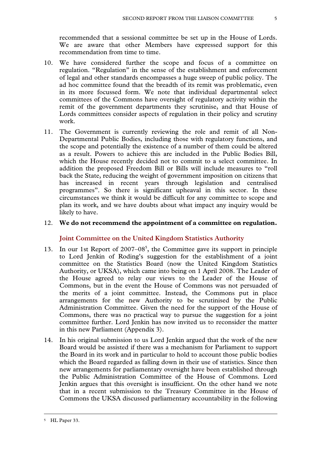recommended that a sessional committee be set up in the House of Lords. We are aware that other Members have expressed support for this recommendation from time to time.

- 10. We have considered further the scope and focus of a committee on regulation. "Regulation" in the sense of the establishment and enforcement of legal and other standards encompasses a huge sweep of public policy. The ad hoc committee found that the breadth of its remit was problematic, even in its more focussed form. We note that individual departmental select committees of the Commons have oversight of regulatory activity within the remit of the government departments they scrutinise, and that House of Lords committees consider aspects of regulation in their policy and scrutiny work.
- 11. The Government is currently reviewing the role and remit of all Non-Departmental Public Bodies, including those with regulatory functions, and the scope and potentially the existence of a number of them could be altered as a result. Powers to achieve this are included in the Public Bodies Bill, which the House recently decided not to commit to a select committee. In addition the proposed Freedom Bill or Bills will include measures to "roll back the State, reducing the weight of government imposition on citizens that has increased in recent years through legislation and centralised programmes". So there is significant upheaval in this sector. In these circumstances we think it would be difficult for any committee to scope and plan its work, and we have doubts about what impact any inquiry would be likely to have.

# 12. **We do not recommend the appointment of a committee on regulation.**

# **Joint Committee on the United Kingdom Statistics Authority**

- 13. In our 1st Report of 2007–08<sup>5</sup>, the Committee gave its support in principle to Lord Jenkin of Roding's suggestion for the establishment of a joint committee on the Statistics Board (now the United Kingdom Statistics Authority, or UKSA), which came into being on 1 April 2008. The Leader of the House agreed to relay our views to the Leader of the House of Commons, but in the event the House of Commons was not persuaded of the merits of a joint committee. Instead, the Commons put in place arrangements for the new Authority to be scrutinised by the Public Administration Committee. Given the need for the support of the House of Commons, there was no practical way to pursue the suggestion for a joint committee further. Lord Jenkin has now invited us to reconsider the matter in this new Parliament (Appendix 3).
- 14. In his original submission to us Lord Jenkin argued that the work of the new Board would be assisted if there was a mechanism for Parliament to support the Board in its work and in particular to hold to account those public bodies which the Board regarded as falling down in their use of statistics. Since then new arrangements for parliamentary oversight have been established through the Public Administration Committee of the House of Commons. Lord Jenkin argues that this oversight is insufficient. On the other hand we note that in a recent submission to the Treasury Committee in the House of Commons the UKSA discussed parliamentary accountability in the following

 <sup>5</sup> HL Paper 33.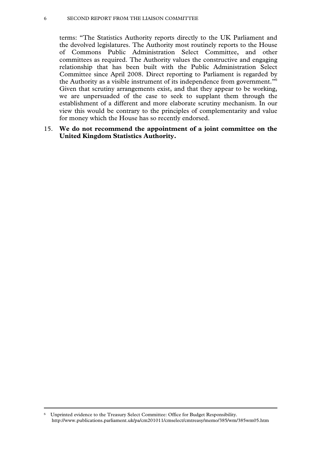### 6 SECOND REPORT FROM THE LIAISON COMMITTEE

terms: "The Statistics Authority reports directly to the UK Parliament and the devolved legislatures. The Authority most routinely reports to the House of Commons Public Administration Select Committee, and other committees as required. The Authority values the constructive and engaging relationship that has been built with the Public Administration Select Committee since April 2008. Direct reporting to Parliament is regarded by the Authority as a visible instrument of its independence from government."6 Given that scrutiny arrangements exist, and that they appear to be working, we are unpersuaded of the case to seek to supplant them through the establishment of a different and more elaborate scrutiny mechanism. In our view this would be contrary to the principles of complementarity and value for money which the House has so recently endorsed.

# 15. **We do not recommend the appointment of a joint committee on the United Kingdom Statistics Authority.**

 <sup>6</sup> Unprinted evidence to the Treasury Select Committee: Office for Budget Responsibility. http://www.publications.parliament.uk/pa/cm201011/cmselect/cmtreasy/memo/385/wm/385wm05.htm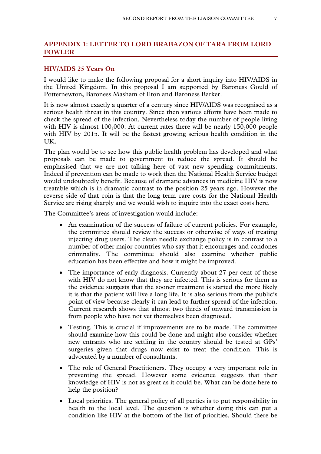# **APPENDIX 1: LETTER TO LORD BRABAZON OF TARA FROM LORD FOWLER**

# **HIV/AIDS 25 Years On**

I would like to make the following proposal for a short inquiry into HIV/AIDS in the United Kingdom. In this proposal I am supported by Baroness Gould of Potternewton, Baroness Masham of Ilton and Baroness Barker.

It is now almost exactly a quarter of a century since HIV/AIDS was recognised as a serious health threat in this country. Since then various efforts have been made to check the spread of the infection. Nevertheless today the number of people living with HIV is almost 100,000. At current rates there will be nearly 150,000 people with HIV by 2015. It will be the fastest growing serious health condition in the UK.

The plan would be to see how this public health problem has developed and what proposals can be made to government to reduce the spread. It should be emphasised that we are not talking here of vast new spending commitments. Indeed if prevention can be made to work then the National Health Service budget would undoubtedly benefit. Because of dramatic advances in medicine HIV is now treatable which is in dramatic contrast to the position 25 years ago. However the reverse side of that coin is that the long term care costs for the National Health Service are rising sharply and we would wish to inquire into the exact costs here.

The Committee's areas of investigation would include:

- An examination of the success of failure of current policies. For example, the committee should review the success or otherwise of ways of treating injecting drug users. The clean needle exchange policy is in contrast to a number of other major countries who say that it encourages and condones criminality. The committee should also examine whether public education has been effective and how it might be improved.
- The importance of early diagnosis. Currently about 27 per cent of those with HIV do not know that they are infected. This is serious for them as the evidence suggests that the sooner treatment is started the more likely it is that the patient will live a long life. It is also serious from the public's point of view because clearly it can lead to further spread of the infection. Current research shows that almost two thirds of onward transmission is from people who have not yet themselves been diagnosed.
- Testing. This is crucial if improvements are to be made. The committee should examine how this could be done and might also consider whether new entrants who are settling in the country should be tested at GPs' surgeries given that drugs now exist to treat the condition. This is advocated by a number of consultants.
- The role of General Practitioners. They occupy a very important role in preventing the spread. However some evidence suggests that their knowledge of HIV is not as great as it could be. What can be done here to help the position?
- Local priorities. The general policy of all parties is to put responsibility in health to the local level. The question is whether doing this can put a condition like HIV at the bottom of the list of priorities. Should there be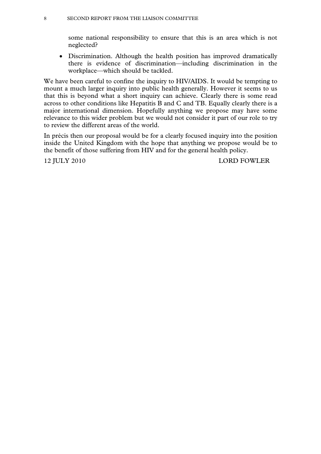some national responsibility to ensure that this is an area which is not neglected?

• Discrimination. Although the health position has improved dramatically there is evidence of discrimination—including discrimination in the workplace—which should be tackled.

We have been careful to confine the inquiry to HIV/AIDS. It would be tempting to mount a much larger inquiry into public health generally. However it seems to us that this is beyond what a short inquiry can achieve. Clearly there is some read across to other conditions like Hepatitis B and C and TB. Equally clearly there is a major international dimension. Hopefully anything we propose may have some relevance to this wider problem but we would not consider it part of our role to try to review the different areas of the world.

In précis then our proposal would be for a clearly focused inquiry into the position inside the United Kingdom with the hope that anything we propose would be to the benefit of those suffering from HIV and for the general health policy.

12 JULY 2010 LORD FOWLER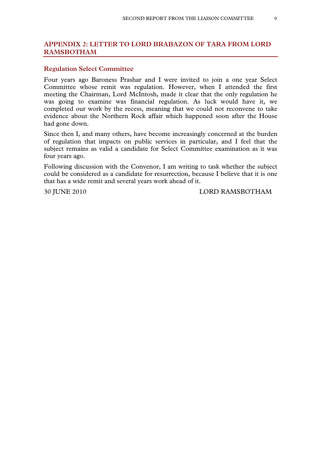# **APPENDIX 2: LETTER TO LORD BRABAZON OF TARA FROM LORD RAMSBOTHAM**

# **Regulation Select Committee**

Four years ago Baroness Prashar and I were invited to join a one year Select Committee whose remit was regulation. However, when I attended the first meeting the Chairman, Lord McIntosh, made it clear that the only regulation he was going to examine was financial regulation. As luck would have it, we completed our work by the recess, meaning that we could not reconvene to take evidence about the Northern Rock affair which happened soon after the House had gone down.

Since then I, and many others, have become increasingly concerned at the burden of regulation that impacts on public services in particular, and I feel that the subject remains as valid a candidate for Select Committee examination as it was four years ago.

Following discussion with the Convenor, I am writing to task whether the subject could be considered as a candidate for resurrection, because I believe that it is one that has a wide remit and several years work ahead of it.

30 JUNE 2010 LORD RAMSBOTHAM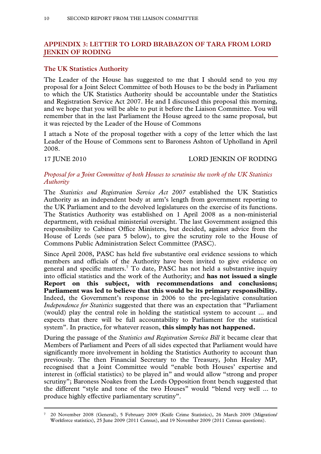# **APPENDIX 3: LETTER TO LORD BRABAZON OF TARA FROM LORD JENKIN OF RODING**

# **The UK Statistics Authority**

The Leader of the House has suggested to me that I should send to you my proposal for a Joint Select Committee of both Houses to be the body in Parliament to which the UK Statistics Authority should be accountable under the Statistics and Registration Service Act 2007. He and I discussed this proposal this morning, and we hope that you will be able to put it before the Liaison Committee. You will remember that in the last Parliament the House agreed to the same proposal, but it was rejected by the Leader of the House of Commons

I attach a Note of the proposal together with a copy of the letter which the last Leader of the House of Commons sent to Baroness Ashton of Upholland in April 2008.

# 17 JUNE 2010 LORD JENKIN OF RODING

# *Proposal for a Joint Committee of both Houses to scrutinise the work of the UK Statistics Authority*

The *Statistics and Registration Service Act 2007* established the UK Statistics Authority as an independent body at arm's length from government reporting to the UK Parliament and to the devolved legislatures on the exercise of its functions. The Statistics Authority was established on 1 April 2008 as a non-ministerial department, with residual ministerial oversight. The last Government assigned this responsibility to Cabinet Office Ministers, but decided, against advice from the House of Lords (see para 5 below), to give the scrutiny role to the House of Commons Public Administration Select Committee (PASC).

Since April 2008, PASC has held five substantive oral evidence sessions to which members and officials of the Authority have been invited to give evidence on general and specific matters.<sup>7</sup> To date, PASC has not held a substantive inquiry into official statistics and the work of the Authority; and **has not issued a single Report on this subject, with recommendations and conclusions; Parliament was led to believe that this would be its primary responsibility.** Indeed, the Government's response in 2006 to the pre-legislative consultation *Independence for Statistics* suggested that there was an expectation that "Parliament (would) play the central role in holding the statistical system to account ... and expects that there will be full accountability to Parliament for the statistical system". In practice, for whatever reason, **this simply has not happened.** 

During the passage of the *Statistics and Registration Service Bill* it became clear that Members of Parliament and Peers of all sides expected that Parliament would have significantly more involvement in holding the Statistics Authority to account than previously. The then Financial Secretary to the Treasury, John Healey MP, recognised that a Joint Committee would "enable both Houses' expertise and interest in (official statistics) to be played in" and would allow "strong and proper scrutiny"; Baroness Noakes from the Lords Opposition front bench suggested that the different "style and tone of the two Houses" would "blend very well ... to produce highly effective parliamentary scrutiny".

 <sup>7 20</sup> November 2008 (General), 5 February 2009 (Knife Crime Statistics), 26 March 2009 (Migration/ Workforce statistics), 25 June 2009 (2011 Census), and 19 November 2009 (2011 Census questions).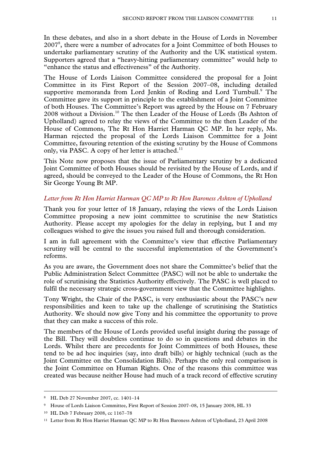In these debates, and also in a short debate in the House of Lords in November 20078 , there were a number of advocates for a Joint Committee of both Houses to undertake parliamentary scrutiny of the Authority and the UK statistical system. Supporters agreed that a "heavy-hitting parliamentary committee" would help to "enhance the status and effectiveness" of the Authority.

The House of Lords Liaison Committee considered the proposal for a Joint Committee in its First Report of the Session 2007–08, including detailed supportive memoranda from Lord Jenkin of Roding and Lord Turnbull.<sup>9</sup> The Committee gave its support in principle to the establishment of a Joint Committee of both Houses. The Committee's Report was agreed by the House on 7 February 2008 without a Division.<sup>10</sup> The then Leader of the House of Lords (Bs Ashton of Upholland) agreed to relay the views of the Committee to the then Leader of the House of Commons, The Rt Hon Harriet Harman QC MP. In her reply, Ms. Harman rejected the proposal of the Lords Liaison Committee for a Joint Committee, favouring retention of the existing scrutiny by the House of Commons only, via PASC. A copy of her letter is attached.<sup>11</sup>

This Note now proposes that the issue of Parliamentary scrutiny by a dedicated Joint Committee of both Houses should be revisited by the House of Lords, and if agreed, should be conveyed to the Leader of the House of Commons, the Rt Hon Sir George Young Bt MP.

# *Letter from Rt Hon Harriet Harman QC MP to Rt Hon Baroness Ashton of Upholland*

Thank you for your letter of 18 January, relaying the views of the Lords Liaison Committee proposing a new joint committee to scrutinise the new Statistics Authority. Please accept my apologies for the delay in replying, but I and my colleagues wished to give the issues you raised full and thorough consideration.

I am in full agreement with the Committee's view that effective Parliamentary scrutiny will be central to the successful implementation of the Government's reforms.

As you are aware, the Government does not share the Committee's belief that the Public Administration Select Committee (PASC) will not be able to undertake the role of scrutinising the Statistics Authority effectively. The PASC is well placed to fulfil the necessary strategic cross-government view that the Committee highlights.

Tony Wright, the Chair of the PASC, is very enthusiastic about the PASC's new responsibilities and keen to take up the challenge of scrutinising the Statistics Authority. We should now give Tony and his committee the opportunity to prove that they can make a success of this role.

The members of the House of Lords provided useful insight during the passage of the Bill. They will doubtless continue to do so in questions and debates in the Lords. Whilst there are precedents for Joint Committees of both Houses, these tend to be ad hoc inquiries (say, into draft bills) or highly technical (such as the Joint Committee on the Consolidation Bills). Perhaps the only real comparison is the Joint Committee on Human Rights. One of the reasons this committee was created was because neither House had much of a track record of effective scrutiny

 <sup>8</sup> HL Deb 27 November 2007, cc. 1401–14

<sup>9</sup> House of Lords Liaison Committee, First Report of Session 2007–08, 15 January 2008, HL 33

<sup>10</sup> HL Deb 7 February 2008, cc 1167–78

<sup>11</sup> Letter from Rt Hon Harriet Harman QC MP to Rt Hon Baroness Ashton of Upholland, 23 April 2008